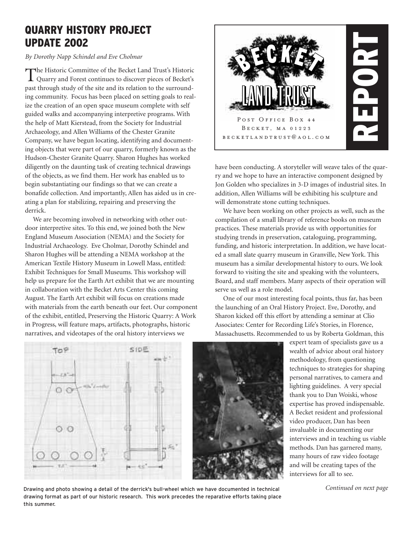# **QUARRY HISTORY PROJECT UPDATE 2002**

*By Dorothy Napp Schindel and Eve Cholmar*

The Historic Committee of the Becket Land Trust's Historic Quarry and Forest continues to discover pieces of Becket's past through study of the site and its relation to the surrounding community. Focus has been placed on setting goals to realize the creation of an open space museum complete with self guided walks and accompanying interpretive programs. With the help of Matt Kierstead, from the Society for Industrial Archaeology, and Allen Williams of the Chester Granite Company, we have begun locating, identifying and documenting objects that were part of our quarry, formerly known as the Hudson-Chester Granite Quarry. Sharon Hughes has worked diligently on the daunting task of creating technical drawings of the objects, as we find them. Her work has enabled us to begin substantiating our findings so that we can create a bonafide collection. And importantly, Allen has aided us in creating a plan for stabilizing, repairing and preserving the derrick.

We are becoming involved in networking with other outdoor interpretive sites. To this end, we joined both the New England Museum Association (NEMA) and the Society for Industrial Archaeology. Eve Cholmar, Dorothy Schindel and Sharon Hughes will be attending a NEMA workshop at the American Textile History Museum in Lowell Mass, entitled: Exhibit Techniques for Small Museums. This workshop will help us prepare for the Earth Art exhibit that we are mounting in collaboration with the Becket Arts Center this coming August. The Earth Art exhibit will focus on creations made with materials from the earth beneath our feet. Our component of the exhibit, entitled, Preserving the Historic Quarry: A Work in Progress, will feature maps, artifacts, photographs, historic narratives, and videotapes of the oral history interviews we



have been conducting. A storyteller will weave tales of the quarry and we hope to have an interactive component designed by Jon Golden who specializes in 3-D images of industrial sites. In addition, Allen Williams will be exhibiting his sculpture and will demonstrate stone cutting techniques.

We have been working on other projects as well, such as the compilation of a small library of reference books on museum practices. These materials provide us with opportunities for studying trends in preservation, cataloguing, programming, funding, and historic interpretation. In addition, we have located a small slate quarry museum in Granville, New York. This museum has a similar developmental history to ours. We look forward to visiting the site and speaking with the volunteers, Board, and staff members. Many aspects of their operation will serve us well as a role model.

One of our most interesting focal points, thus far, has been the launching of an Oral History Project. Eve, Dorothy, and Sharon kicked off this effort by attending a seminar at Clio Associates: Center for Recording Life's Stories, in Florence, Massachusetts. Recommended to us by Roberta Goldman, this



expert team of specialists gave us a wealth of advice about oral history methodology, from questioning techniques to strategies for shaping personal narratives, to camera and lighting guidelines. A very special thank you to Dan Woiski, whose expertise has proved indispensable. A Becket resident and professional video producer, Dan has been invaluable in documenting our interviews and in teaching us viable methods. Dan has garnered many, many hours of raw video footage and will be creating tapes of the interviews for all to see.

Drawing and photo showing a detail of the derrick's bull-wheel which we have documented in technical **Continued on next page** drawing format as part of our historic research. This work precedes the reparative efforts taking place this summer.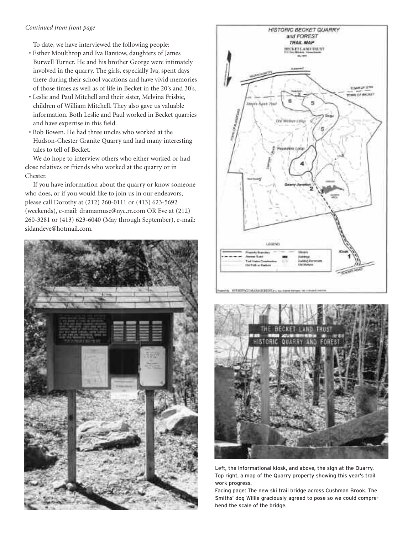#### *Continued from front page*

To date, we have interviewed the following people:

- Esther Moulthrop and Iva Barstow, daughters of James Burwell Turner. He and his brother George were intimately involved in the quarry. The girls, especially Iva, spent days there during their school vacations and have vivid memories of those times as well as of life in Becket in the 20's and 30's.
- Leslie and Paul Mitchell and their sister, Melvina Frisbie, children of William Mitchell. They also gave us valuable information. Both Leslie and Paul worked in Becket quarries and have expertise in this field.
- Bob Bowen. He had three uncles who worked at the Hudson-Chester Granite Quarry and had many interesting tales to tell of Becket.

We do hope to interview others who either worked or had close relatives or friends who worked at the quarry or in Chester.

If you have information about the quarry or know someone who does, or if you would like to join us in our endeavors, please call Dorothy at (212) 260-0111 or (413) 623-5692 (weekends), e-mail: dramamuse@nyc.rr.com OR Eve at (212) 260-3281 or (413) 623-6040 (May through September), e-mail: sidandeve@hotmail.com.







Left, the informational kiosk, and above, the sign at the Quarry. Top right, a map of the Quarry property showing this year's trail work progress.

Facing page: The new ski trail bridge across Cushman Brook. The Smiths' dog Willie graciously agreed to pose so we could comprehend the scale of the bridge.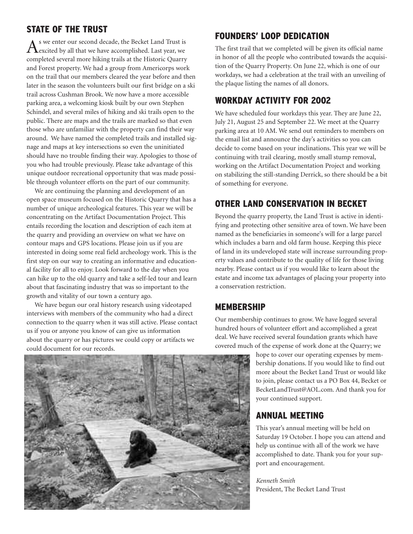### **STATE OF THE TRUST**

As we enter our second decade, the Becket Land Trust is excited by all that we have accomplished. Last year, we completed several more hiking trails at the Historic Quarry and Forest property. We had a group from Americorps work on the trail that our members cleared the year before and then later in the season the volunteers built our first bridge on a ski trail across Cushman Brook. We now have a more accessible parking area, a welcoming kiosk built by our own Stephen Schindel, and several miles of hiking and ski trails open to the public. There are maps and the trails are marked so that even those who are unfamiliar with the property can find their way around. We have named the completed trails and installed signage and maps at key intersections so even the uninitiated should have no trouble finding their way. Apologies to those of you who had trouble previously. Please take advantage of this unique outdoor recreational opportunity that was made possible through volunteer efforts on the part of our community.

We are continuing the planning and development of an open space museum focused on the Historic Quarry that has a number of unique archeological features. This year we will be concentrating on the Artifact Documentation Project. This entails recording the location and description of each item at the quarry and providing an overview on what we have on contour maps and GPS locations. Please join us if you are interested in doing some real field archeology work. This is the first step on our way to creating an informative and educational facility for all to enjoy. Look forward to the day when you can hike up to the old quarry and take a self-led tour and learn about that fascinating industry that was so important to the growth and vitality of our town a century ago.

We have begun our oral history research using videotaped interviews with members of the community who had a direct connection to the quarry when it was still active. Please contact us if you or anyone you know of can give us information about the quarry or has pictures we could copy or artifacts we could document for our records.

# **FOUNDERS' LOOP DEDICATION**

The first trail that we completed will be given its official name in honor of all the people who contributed towards the acquisition of the Quarry Property. On June 22, which is one of our workdays, we had a celebration at the trail with an unveiling of the plaque listing the names of all donors.

### **WORKDAY ACTIVITY FOR 2002**

We have scheduled four workdays this year. They are June 22, July 21, August 25 and September 22. We meet at the Quarry parking area at 10 AM. We send out reminders to members on the email list and announce the day's activities so you can decide to come based on your inclinations. This year we will be continuing with trail clearing, mostly small stump removal, working on the Artifact Documentation Project and working on stabilizing the still-standing Derrick, so there should be a bit of something for everyone.

## **OTHER LAND CONSERVATION IN BECKET**

Beyond the quarry property, the Land Trust is active in identifying and protecting other sensitive area of town. We have been named as the beneficiaries in someone's will for a large parcel which includes a barn and old farm house. Keeping this piece of land in its undeveloped state will increase surrounding property values and contribute to the quality of life for those living nearby. Please contact us if you would like to learn about the estate and income tax advantages of placing your property into a conservation restriction.

### **MEMBERSHIP**

Our membership continues to grow. We have logged several hundred hours of volunteer effort and accomplished a great deal. We have received several foundation grants which have covered much of the expense of work done at the Quarry; we

hope to cover our operating expenses by membership donations. If you would like to find out more about the Becket Land Trust or would like to join, please contact us a PO Box 44, Becket or BecketLandTrust@AOL.com. And thank you for your continued support.

#### **ANNUAL MEETING**

This year's annual meeting will be held on Saturday 19 October. I hope you can attend and help us continue with all of the work we have accomplished to date. Thank you for your support and encouragement.

*Kenneth Smith* President, The Becket Land Trust